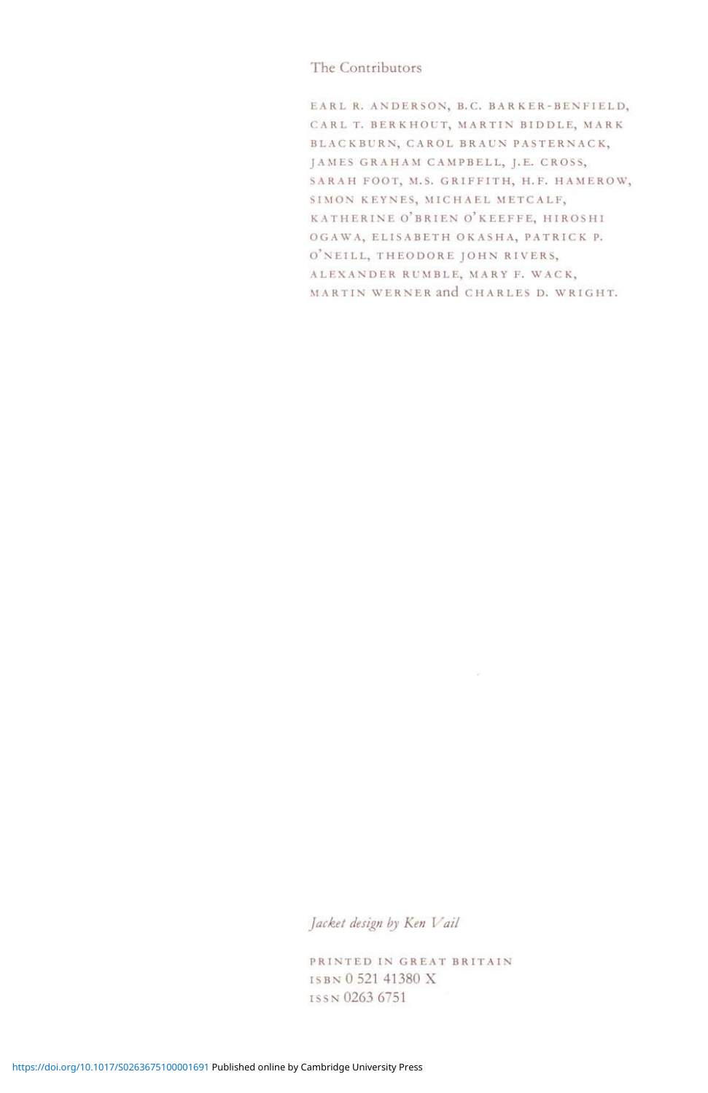### The Contributors

EARL R. ANDERSON, B.C. BARKER-BENFIELD, CARL T. BERKHOUT, MARTIN BIDDLE, MARK BLACKBURN, CAROL BRAUN PASTERNACK, JAMES GRAHAM CAMPBELL, J.E. CROSS, SARAH FOOT, M.S. GRIFFITH, H.F. HAMEROW, SIMON KEYNES, MICHAEL METCALF, KATHERINE O'BRIEN o'KEEFFE, HIROSHI OGAWA, ELISABETH OKASHA, PATRICK P. O'NEILL, THEODORE JOHN RIVERS, ALEXANDER RUMBLE, MARY F. WACK, MARTIN WERNER and CHARLES D. WRIGHT.

# *Jacket design by Ken Vail*

PRINTED IN GREAT BRITAIN ISBN 0 521 41380 X ISSN 0263 6751